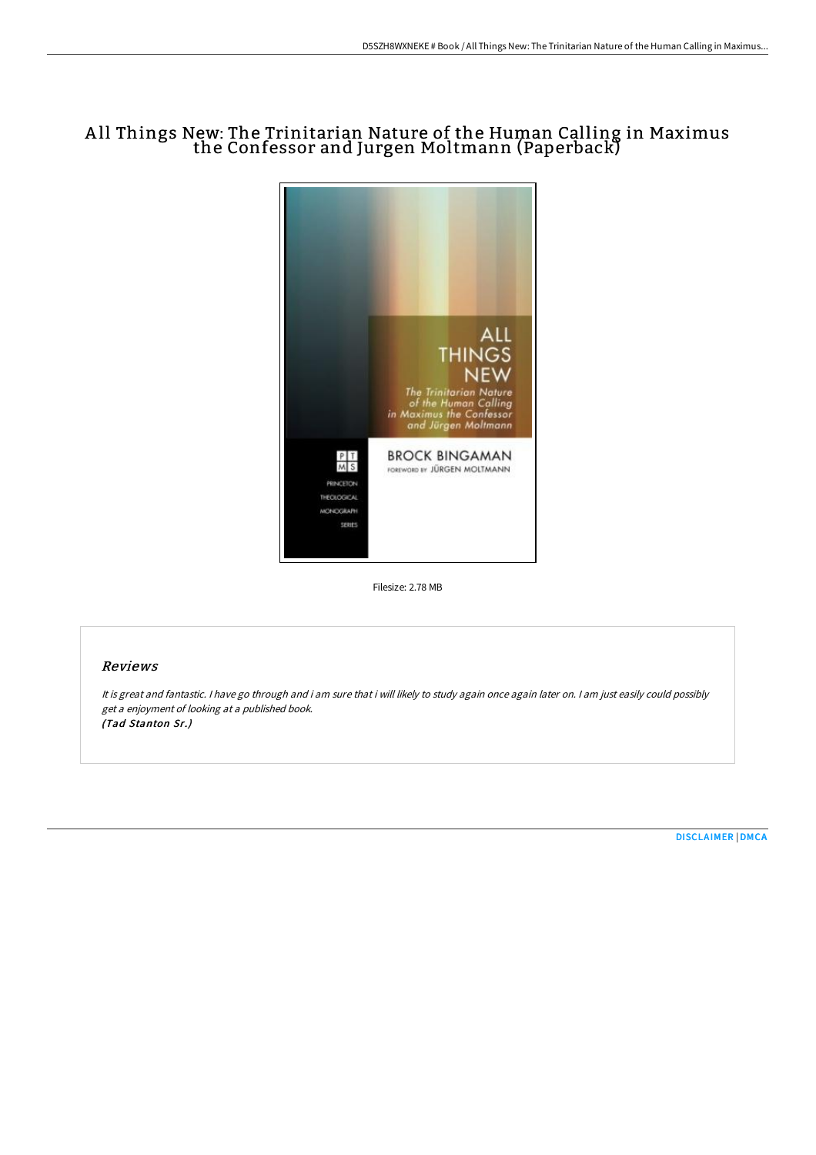# A ll Things New: The Trinitarian Nature of the Human Calling in Maximus the Confessor and Jurgen Moltmann (Paperback)



Filesize: 2.78 MB

## Reviews

It is great and fantastic. <sup>I</sup> have go through and i am sure that i will likely to study again once again later on. <sup>I</sup> am just easily could possibly get <sup>a</sup> enjoyment of looking at <sup>a</sup> published book. (Tad Stanton Sr.)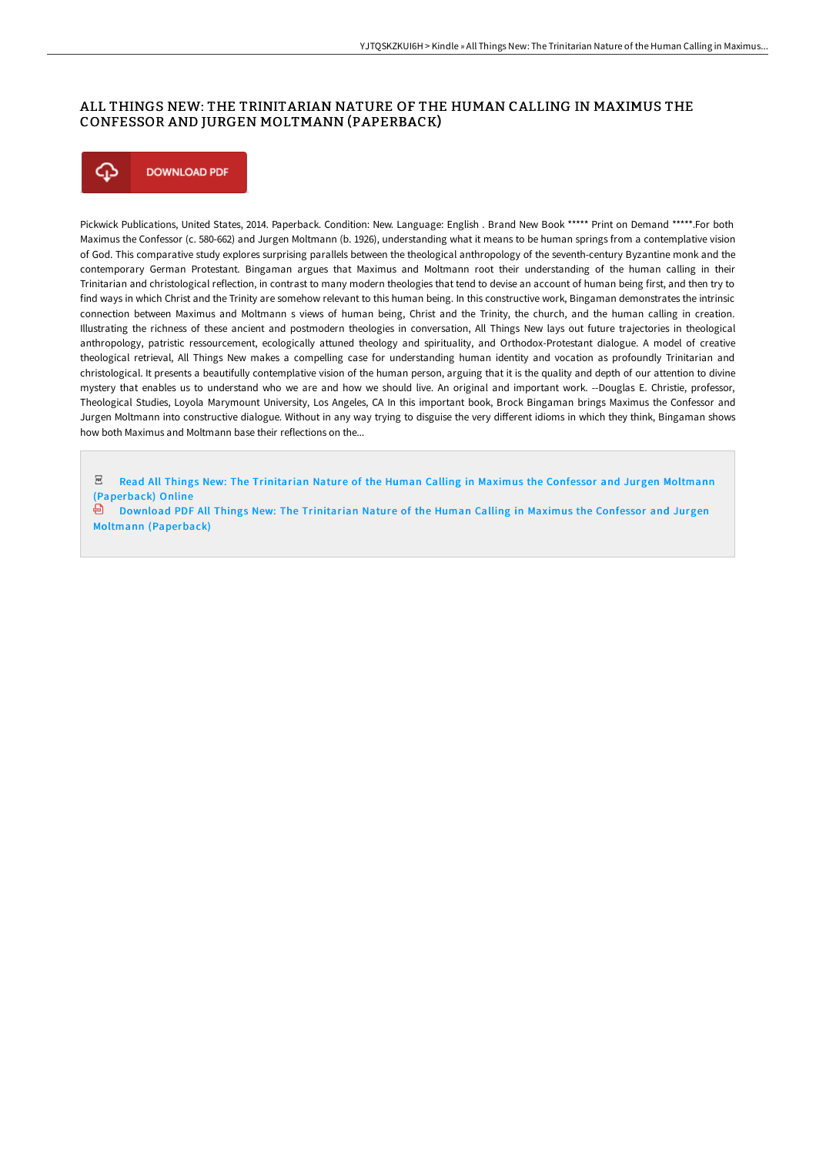## ALL THINGS NEW: THE TRINITARIAN NATURE OF THE HUMAN CALLING IN MAXIMUS THE CONFESSOR AND JURGEN MOLTMANN (PAPERBACK)



Pickwick Publications, United States, 2014. Paperback. Condition: New. Language: English . Brand New Book \*\*\*\*\* Print on Demand \*\*\*\*\*.For both Maximus the Confessor (c. 580-662) and Jurgen Moltmann (b. 1926), understanding what it means to be human springs from a contemplative vision of God. This comparative study explores surprising parallels between the theological anthropology of the seventh-century Byzantine monk and the contemporary German Protestant. Bingaman argues that Maximus and Moltmann root their understanding of the human calling in their Trinitarian and christological reflection, in contrast to many modern theologies that tend to devise an account of human being first, and then try to find ways in which Christ and the Trinity are somehow relevant to this human being. In this constructive work, Bingaman demonstrates the intrinsic connection between Maximus and Moltmann s views of human being, Christ and the Trinity, the church, and the human calling in creation. Illustrating the richness of these ancient and postmodern theologies in conversation, All Things New lays out future trajectories in theological anthropology, patristic ressourcement, ecologically attuned theology and spirituality, and Orthodox-Protestant dialogue. A model of creative theological retrieval, All Things New makes a compelling case for understanding human identity and vocation as profoundly Trinitarian and christological. It presents a beautifully contemplative vision of the human person, arguing that it is the quality and depth of our attention to divine mystery that enables us to understand who we are and how we should live. An original and important work. --Douglas E. Christie, professor, Theological Studies, Loyola Marymount University, Los Angeles, CA In this important book, Brock Bingaman brings Maximus the Confessor and Jurgen Moltmann into constructive dialogue. Without in any way trying to disguise the very different idioms in which they think, Bingaman shows how both Maximus and Moltmann base their reflections on the...

PDF Read All Things New: The Trinitarian Nature of the Human Calling in Maximus the Confessor and Jurgen Moltmann [\(Paperback\)](http://bookera.tech/all-things-new-the-trinitarian-nature-of-the-hum.html) Online

氫 Download PDF All Things New: The Trinitarian Nature of the Human Calling in Maximus the Confessor and Jurgen Moltmann [\(Paperback\)](http://bookera.tech/all-things-new-the-trinitarian-nature-of-the-hum.html)